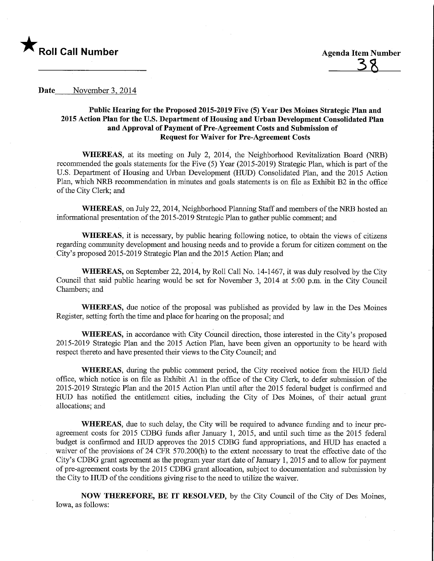

## Date November 3, 2014

## Public Hearing for the Proposed 2015-2019 Five (5) Year Des Moines Strategic Plan and 2015 Action Plan for the U.S. Department of Housing and Urban Development Consolidated Plan and Approval of Payment of Pre-Agreement Costs and Submission of Request for Waiver for Pre-Agreement Costs

WHEREAS, at its meeting on July 2, 2014, the Neighborhood Revitalization Board (NRB) recommended the goals statements for the Five (5) Year (2015-2019) Strategic Plan, which is part of the U.S. Department of Housing and Urban Development (HUD) Consolidated Plan, and the 2015 Action Plan, which NRB recommendation in minutes and goals statements is on file as Exhibit B2 in the office of the City Clerk; and

WHEREAS, on July 22, 2014, Neighborhood Planning Staff and members of the NRB hosted an mformational presentation of the 2015-2019 Strategic Plan to gather public comment; and

WHEREAS, it is necessary, by public hearing following notice, to obtain the views of citizens regarding community development and housing needs and to provide a forum for citizen comment on the City's proposed 2015-2019 Strategic Plan and the 2015 Action Plan; and

WHEREAS, on September 22, 2014, by Roll Call No. 14-1467, it was duly resolved by the City Council that said public hearing would be set for November 3, 2014 at 5:00 p.m. in the City Council Chambers; and

WHEREAS, due notice of the proposal was published as provided by law in the Des Moines Register, setting forth the time and place for hearing on the proposal; and

WHEREAS, in accordance with City Council direction, those interested in the City's proposed 2015-2019 Strategic Plan and the 2015 Action Plan, have been given an opportunity to be heard with respect thereto and have presented their views to the City Council; and

WHEREAS, during the public comment period, the City received notice from the HUB field office, which notice is on file as Exhibit Al in the office of the City Clerk, to defer submission of the 2015-2019 Strategic Plan and the 2015 Action Plan until after the 2015 federal budget is confirmed and HUD has notified the entitlement cities, including the City of Des Moines, of their actual grant allocations; and

WHEREAS, due to such delay, the City will be required to advance funding and to incur preagreement costs for 2015 CDBG funds after January 1, 2015, and until such time as the 2015 federal budget is confirmed and HUD approves the 2015 CDBG fund appropriations, and HUD has enacted a waiver of the provisions of 24 CFR 570.200(h) to the extent necessary to treat the effective date of the City's CDBG grant agreement as the program year start date of January 1, 2015 and to allow for payment of pre-agreement costs by the 2015 CDBG grant allocation, subject to documentation and submission by the City to HUD of the conditions giving rise to the need to utilize the waiver.

NOW THEREFORE, BE IT RESOLVED, by the City Council of the City of Des Moines, Iowa, as follows: